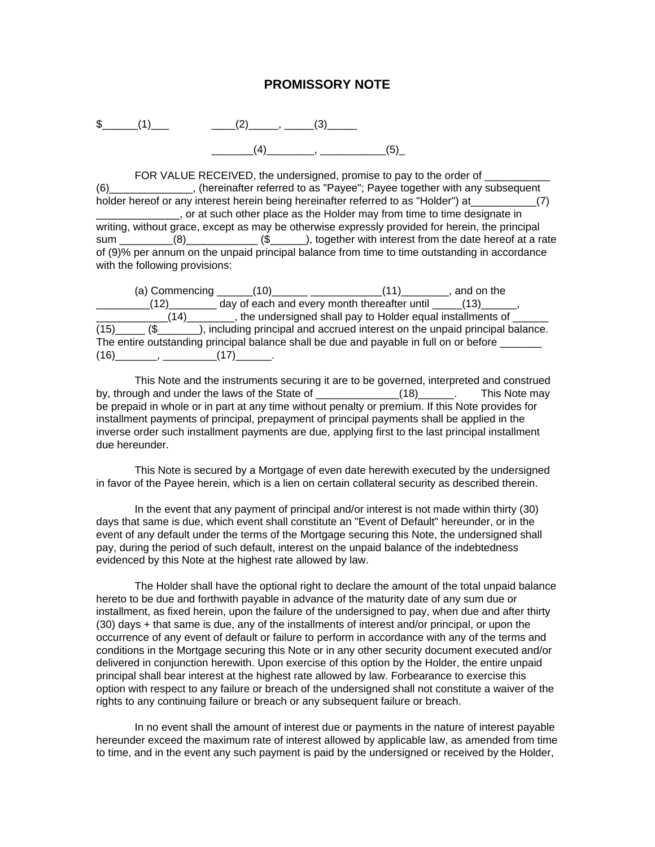## **PROMISSORY NOTE**



FOR VALUE RECEIVED, the undersigned, promise to pay to the order of (6)\_\_\_\_\_\_\_\_\_\_\_\_\_\_, (hereinafter referred to as "Payee"; Payee together with any subsequent holder hereof or any interest herein being hereinafter referred to as "Holder") at  $(7)$ \_\_\_\_\_\_\_\_\_\_\_\_\_\_, or at such other place as the Holder may from time to time designate in writing, without grace, except as may be otherwise expressly provided for herein, the principal sum (8) (8) (Section 1), together with interest from the date hereof at a rate of (9)% per annum on the unpaid principal balance from time to time outstanding in accordance with the following provisions:

|                                                                                        | (a) Commencing (10) | (11)                                                     | , and on the                                                                                       |
|----------------------------------------------------------------------------------------|---------------------|----------------------------------------------------------|----------------------------------------------------------------------------------------------------|
| (12)                                                                                   |                     | day of each and every month thereafter until $(13)$ (13) |                                                                                                    |
|                                                                                        |                     |                                                          | $(14)$ $\qquad \qquad$ , the undersigned shall pay to Holder equal installments of $\qquad \qquad$ |
|                                                                                        |                     |                                                          | (15) (\$ __________), including principal and accrued interest on the unpaid principal balance.    |
| The entire outstanding principal balance shall be due and payable in full on or before |                     |                                                          |                                                                                                    |
| $(16)$ (17)                                                                            |                     |                                                          |                                                                                                    |

This Note and the instruments securing it are to be governed, interpreted and construed by, through and under the laws of the State of \_\_\_\_\_\_\_\_\_\_\_\_\_(18)\_\_\_\_\_. This Note may be prepaid in whole or in part at any time without penalty or premium. If this Note provides for installment payments of principal, prepayment of principal payments shall be applied in the inverse order such installment payments are due, applying first to the last principal installment due hereunder.

This Note is secured by a Mortgage of even date herewith executed by the undersigned in favor of the Payee herein, which is a lien on certain collateral security as described therein.

In the event that any payment of principal and/or interest is not made within thirty (30) days that same is due, which event shall constitute an "Event of Default" hereunder, or in the event of any default under the terms of the Mortgage securing this Note, the undersigned shall pay, during the period of such default, interest on the unpaid balance of the indebtedness evidenced by this Note at the highest rate allowed by law.

The Holder shall have the optional right to declare the amount of the total unpaid balance hereto to be due and forthwith payable in advance of the maturity date of any sum due or installment, as fixed herein, upon the failure of the undersigned to pay, when due and after thirty (30) days + that same is due, any of the installments of interest and/or principal, or upon the occurrence of any event of default or failure to perform in accordance with any of the terms and conditions in the Mortgage securing this Note or in any other security document executed and/or delivered in conjunction herewith. Upon exercise of this option by the Holder, the entire unpaid principal shall bear interest at the highest rate allowed by law. Forbearance to exercise this option with respect to any failure or breach of the undersigned shall not constitute a waiver of the rights to any continuing failure or breach or any subsequent failure or breach.

In no event shall the amount of interest due or payments in the nature of interest payable hereunder exceed the maximum rate of interest allowed by applicable law, as amended from time to time, and in the event any such payment is paid by the undersigned or received by the Holder,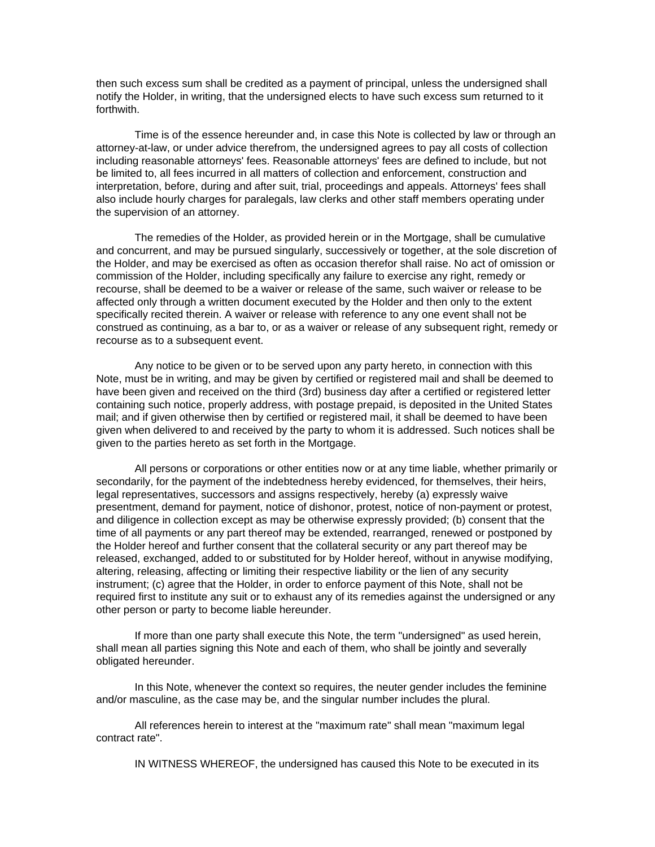then such excess sum shall be credited as a payment of principal, unless the undersigned shall notify the Holder, in writing, that the undersigned elects to have such excess sum returned to it forthwith.

Time is of the essence hereunder and, in case this Note is collected by law or through an attorney-at-law, or under advice therefrom, the undersigned agrees to pay all costs of collection including reasonable attorneys' fees. Reasonable attorneys' fees are defined to include, but not be limited to, all fees incurred in all matters of collection and enforcement, construction and interpretation, before, during and after suit, trial, proceedings and appeals. Attorneys' fees shall also include hourly charges for paralegals, law clerks and other staff members operating under the supervision of an attorney.

The remedies of the Holder, as provided herein or in the Mortgage, shall be cumulative and concurrent, and may be pursued singularly, successively or together, at the sole discretion of the Holder, and may be exercised as often as occasion therefor shall raise. No act of omission or commission of the Holder, including specifically any failure to exercise any right, remedy or recourse, shall be deemed to be a waiver or release of the same, such waiver or release to be affected only through a written document executed by the Holder and then only to the extent specifically recited therein. A waiver or release with reference to any one event shall not be construed as continuing, as a bar to, or as a waiver or release of any subsequent right, remedy or recourse as to a subsequent event.

Any notice to be given or to be served upon any party hereto, in connection with this Note, must be in writing, and may be given by certified or registered mail and shall be deemed to have been given and received on the third (3rd) business day after a certified or registered letter containing such notice, properly address, with postage prepaid, is deposited in the United States mail; and if given otherwise then by certified or registered mail, it shall be deemed to have been given when delivered to and received by the party to whom it is addressed. Such notices shall be given to the parties hereto as set forth in the Mortgage.

All persons or corporations or other entities now or at any time liable, whether primarily or secondarily, for the payment of the indebtedness hereby evidenced, for themselves, their heirs, legal representatives, successors and assigns respectively, hereby (a) expressly waive presentment, demand for payment, notice of dishonor, protest, notice of non-payment or protest, and diligence in collection except as may be otherwise expressly provided; (b) consent that the time of all payments or any part thereof may be extended, rearranged, renewed or postponed by the Holder hereof and further consent that the collateral security or any part thereof may be released, exchanged, added to or substituted for by Holder hereof, without in anywise modifying, altering, releasing, affecting or limiting their respective liability or the lien of any security instrument; (c) agree that the Holder, in order to enforce payment of this Note, shall not be required first to institute any suit or to exhaust any of its remedies against the undersigned or any other person or party to become liable hereunder.

If more than one party shall execute this Note, the term "undersigned" as used herein, shall mean all parties signing this Note and each of them, who shall be jointly and severally obligated hereunder.

In this Note, whenever the context so requires, the neuter gender includes the feminine and/or masculine, as the case may be, and the singular number includes the plural.

All references herein to interest at the "maximum rate" shall mean "maximum legal contract rate".

IN WITNESS WHEREOF, the undersigned has caused this Note to be executed in its